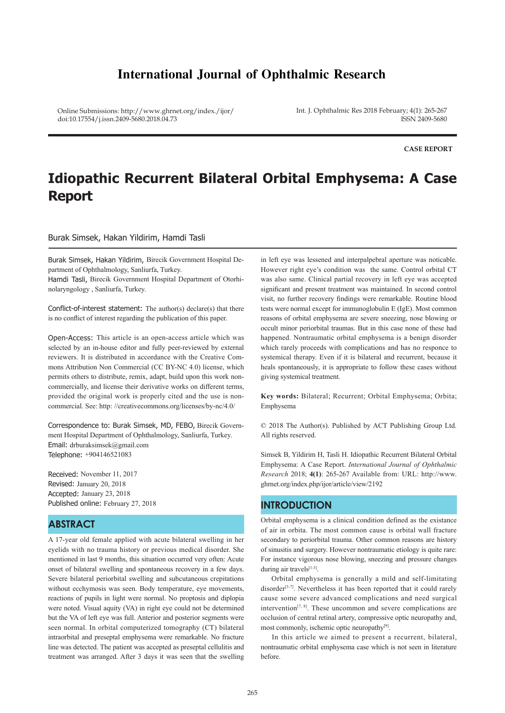## **International Journal of Ophthalmic Research**

Online Submissions: http://www.ghrnet.org/index./ijor/ doi:10.17554/j.issn.2409-5680.2018.04.73

Int. J. Ophthalmic Res 2018 February; 4(1): 265-267 ISSN 2409-5680

**CASE REPORT**

# **Idiopathic Recurrent Bilateral Orbital Emphysema: A Case Report**

Burak Simsek, Hakan Yildirim, Hamdi Tasli

Burak Simsek, Hakan Yildirim, Birecik Government Hospital Department of Ophthalmology, Sanliurfa, Turkey.

Hamdi Tasli, Birecik Government Hospital Department of Otorhinolaryngology , Sanliurfa, Turkey.

Conflict-of-interest statement: The author(s) declare(s) that there is no conflict of interest regarding the publication of this paper.

Open-Access: This article is an open-access article which was selected by an in-house editor and fully peer-reviewed by external reviewers. It is distributed in accordance with the Creative Commons Attribution Non Commercial (CC BY-NC 4.0) license, which permits others to distribute, remix, adapt, build upon this work noncommercially, and license their derivative works on different terms, provided the original work is properly cited and the use is noncommercial. See: http: //creativecommons.org/licenses/by-nc/4.0/

Correspondence to: Burak Simsek, MD, FEBO, Birecik Government Hospital Department of Ophthalmology, Sanliurfa, Turkey. Email: drburaksimsek@gmail.com Telephone: +904146521083

Received: November 11, 2017 Revised: January 20, 2018 Accepted: January 23, 2018 Published online: February 27, 2018

## **ABSTRACT**

A 17-year old female applied with acute bilateral swelling in her eyelids with no trauma history or previous medical disorder. She mentioned in last 9 months, this situation occurred very often: Acute onset of bilateral swelling and spontaneous recovery in a few days. Severe bilateral periorbital swelling and subcutaneous crepitations without ecchymosis was seen. Body temperature, eye movements, reactions of pupils in light were normal. No proptosis and diplopia were noted. Visual aquity (VA) in right eye could not be determined but the VA of left eye was full. Anterior and posterior segments were seen normal. In orbital computerized tomography (CT) bilateral intraorbital and preseptal emphysema were remarkable. No fracture line was detected. The patient was accepted as preseptal cellulitis and treatment was arranged. After 3 days it was seen that the swelling

in left eye was lessened and interpalpebral aperture was noticable. However right eye's condition was the same. Control orbital CT was also same. Clinical partial recovery in left eye was accepted significant and present treatment was maintained. In second control visit, no further recovery findings were remarkable. Routine blood tests were normal except for immunoglobulin E (IgE). Most common reasons of orbital emphysema are severe sneezing, nose blowing or occult minor periorbital traumas. But in this case none of these had happened. Nontraumatic orbital emphysema is a benign disorder which rarely proceeds with complications and has no responce to systemical therapy. Even if it is bilateral and recurrent, because it heals spontaneously, it is appropriate to follow these cases without giving systemical treatment.

**Key words:** Bilateral; Recurrent; Orbital Emphysema; Orbita; Emphysema

© 2018 The Author(s). Published by ACT Publishing Group Ltd. All rights reserved.

Simsek B, Yildirim H, Tasli H. Idiopathic Recurrent Bilateral Orbital Emphysema: A Case Report. *International Journal of Ophthalmic Research* 2018; **4(1)**: 265-267 Available from: URL: http://www. ghrnet.org/index.php/ijor/article/view/2192

## **INTRODUCTION**

Orbital emphysema is a clinical condition defined as the existance of air in orbita. The most common cause is orbital wall fracture secondary to periorbital trauma. Other common reasons are history of sinusitis and surgery. However nontraumatic etiology is quite rare: For instance vigorous nose blowing, sneezing and pressure changes during air travels[1-3].

 Orbital emphysema is generally a mild and self-limitating disorder<sup>[3-7]</sup>. Nevertheless it has been reported that it could rarely cause some severe advanced complications and need surgical intervention $[7, 8]$ . These uncommon and severe complications are occlusion of central retinal artery, compressive optic neuropathy and, most commonly, ischemic optic neuropathy[9].

 In this article we aimed to present a recurrent, bilateral, nontraumatic orbital emphysema case which is not seen in literature before.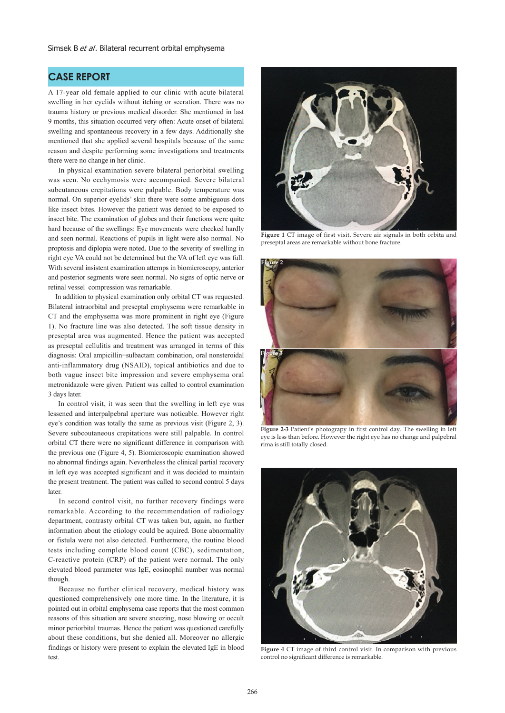## **CASE REPORT**

A 17-year old female applied to our clinic with acute bilateral swelling in her eyelids without itching or secration. There was no trauma history or previous medical disorder. She mentioned in last 9 months, this situation occurred very often: Acute onset of bilateral swelling and spontaneous recovery in a few days. Additionally she mentioned that she applied several hospitals because of the same reason and despite performing some investigations and treatments there were no change in her clinic.

 In physical examination severe bilateral periorbital swelling was seen. No ecchymosis were accompanied. Severe bilateral subcutaneous crepitations were palpable. Body temperature was normal. On superior eyelids' skin there were some ambiguous dots like insect bites. However the patient was denied to be exposed to insect bite. The examination of globes and their functions were quite hard because of the swellings: Eye movements were checked hardly and seen normal. Reactions of pupils in light were also normal. No proptosis and diplopia were noted. Due to the severity of swelling in right eye VA could not be determined but the VA of left eye was full. With several insistent examination attemps in biomicroscopy, anterior and posterior segments were seen normal. No signs of optic nerve or retinal vessel compression was remarkable.

 In addition to physical examination only orbital CT was requested. Bilateral intraorbital and preseptal emphysema were remarkable in CT and the emphysema was more prominent in right eye (Figure 1). No fracture line was also detected. The soft tissue density in preseptal area was augmented. Hence the patient was accepted as preseptal cellulitis and treatment was arranged in terms of this diagnosis: Oral ampicillin+sulbactam combination, oral nonsteroidal anti-inflammatory drug (NSAID), topical antibiotics and due to both vague insect bite impression and severe emphysema oral metronidazole were given. Patient was called to control examination 3 days later.

 In control visit, it was seen that the swelling in left eye was lessened and interpalpebral aperture was noticable. However right eye's condition was totally the same as previous visit (Figure 2, 3). Severe subcoutaneous crepitations were still palpable. In control orbital CT there were no significant difference in comparison with the previous one (Figure 4, 5). Biomicroscopic examination showed no abnormal findings again. Nevertheless the clinical partial recovery in left eye was accepted significant and it was decided to maintain the present treatment. The patient was called to second control 5 days later.

 In second control visit, no further recovery findings were remarkable. According to the recommendation of radiology department, contrasty orbital CT was taken but, again, no further information about the etiology could be aquired. Bone abnormality or fistula were not also detected. Furthermore, the routine blood tests including complete blood count (CBC), sedimentation, C-reactive protein (CRP) of the patient were normal. The only elevated blood parameter was IgE, eosinophil number was normal though.

Because no further clinical recovery, medical history was questioned comprehensively one more time. In the literature, it is pointed out in orbital emphysema case reports that the most common reasons of this situation are severe sneezing, nose blowing or occult minor periorbital traumas. Hence the patient was questioned carefully about these conditions, but she denied all. Moreover no allergic findings or history were present to explain the elevated IgE in blood test.



**Figure 1** CT image of first visit. Severe air signals in both orbita and preseptal areas are remarkable without bone fracture.



**Figure 2-3** Patient's photograpy in first control day. The swelling in left eye is less than before. However the right eye has no change and palpebral rima is still totally closed.

![](_page_1_Picture_12.jpeg)

**Figure 4** CT image of third control visit. In comparison with previous control no significant difference is remarkable.